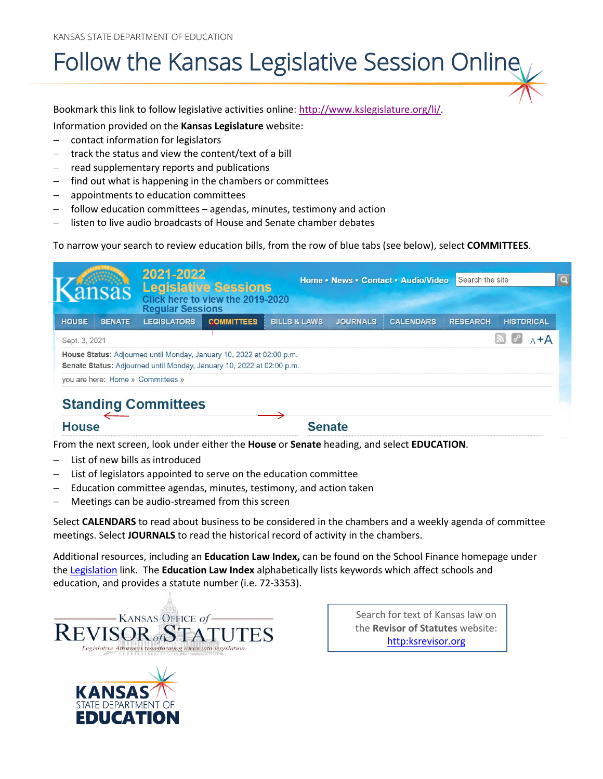KANSAS STATE DEPARTMENT OF EDUCATION

## Follow the Kansas Legislative Session Online

Bookmark this link to follow legislative activities online: [http://www.kslegislature.org/li/.](http://www.kslegislature.org/li/)

Information provided on the **Kansas Legislature** website:

- − contact information for legislators
- track the status and view the content/text of a bill
- read supplementary reports and publications
- find out what is happening in the chambers or committees
- − appointments to education committees
- follow education committees agendas, minutes, testimony and action
- listen to live audio broadcasts of House and Senate chamber debates

To narrow your search to review education bills, from the row of blue tabs (see below), select **COMMITTEES**.

|               |               | 2021-2022<br><b>Regular Sessions</b>                                                                                                          | <b>Legislative Sessions</b><br>Click here to view the 2019-2020 |                         |                 | Home • News • Contact • Audio/Video | Search the site |                   | $\boxed{\alpha}$ |
|---------------|---------------|-----------------------------------------------------------------------------------------------------------------------------------------------|-----------------------------------------------------------------|-------------------------|-----------------|-------------------------------------|-----------------|-------------------|------------------|
| <b>HOUSE</b>  | <b>SENATE</b> | <b>LEGISLATORS</b>                                                                                                                            | <b>COMMITTEES</b>                                               | <b>BILLS &amp; LAWS</b> | <b>JOURNALS</b> | <b>CALENDARS</b>                    | <b>RESEARCH</b> | <b>HISTORICAL</b> |                  |
| Sept. 3, 2021 |               |                                                                                                                                               |                                                                 |                         |                 |                                     |                 | $-A + A$          |                  |
|               |               | House Status: Adjourned until Monday, January 10, 2022 at 02:00 p.m.<br>Senate Status: Adjourned until Monday, January 10, 2022 at 02:00 p.m. |                                                                 |                         |                 |                                     |                 |                   |                  |
|               |               | you are here: Home » Committees »                                                                                                             |                                                                 |                         |                 |                                     |                 |                   |                  |
|               |               | <b>Standing Committees</b>                                                                                                                    |                                                                 |                         |                 |                                     |                 |                   |                  |
| <b>House</b>  |               |                                                                                                                                               |                                                                 | <b>Senate</b>           |                 |                                     |                 |                   |                  |

From the next screen, look under either the **House** or **Senate** heading, and select **EDUCATION**.

- List of new bills as introduced
- List of legislators appointed to serve on the education committee
- Education committee agendas, minutes, testimony, and action taken
- Meetings can be audio-streamed from this screen

Select **CALENDARS** to read about business to be considered in the chambers and a weekly agenda of committee meetings. Select **JOURNALS** to read the historical record of activity in the chambers.

Additional resources, including an **Education Law Index,** can be found on the School Finance homepage under the [Legislation](https://www.ksde.org/Agency/Fiscal-and-Administrative-Services/School-Finance/Legislation) link. The **Education Law Index** alphabetically lists keywords which affect schools and education, and provides a statute number (i.e. 72-3353).



Search for text of Kansas law on the **Revisor of Statutes** website: [http:ksrevisor.org](http://www.ksrevisor.org/)